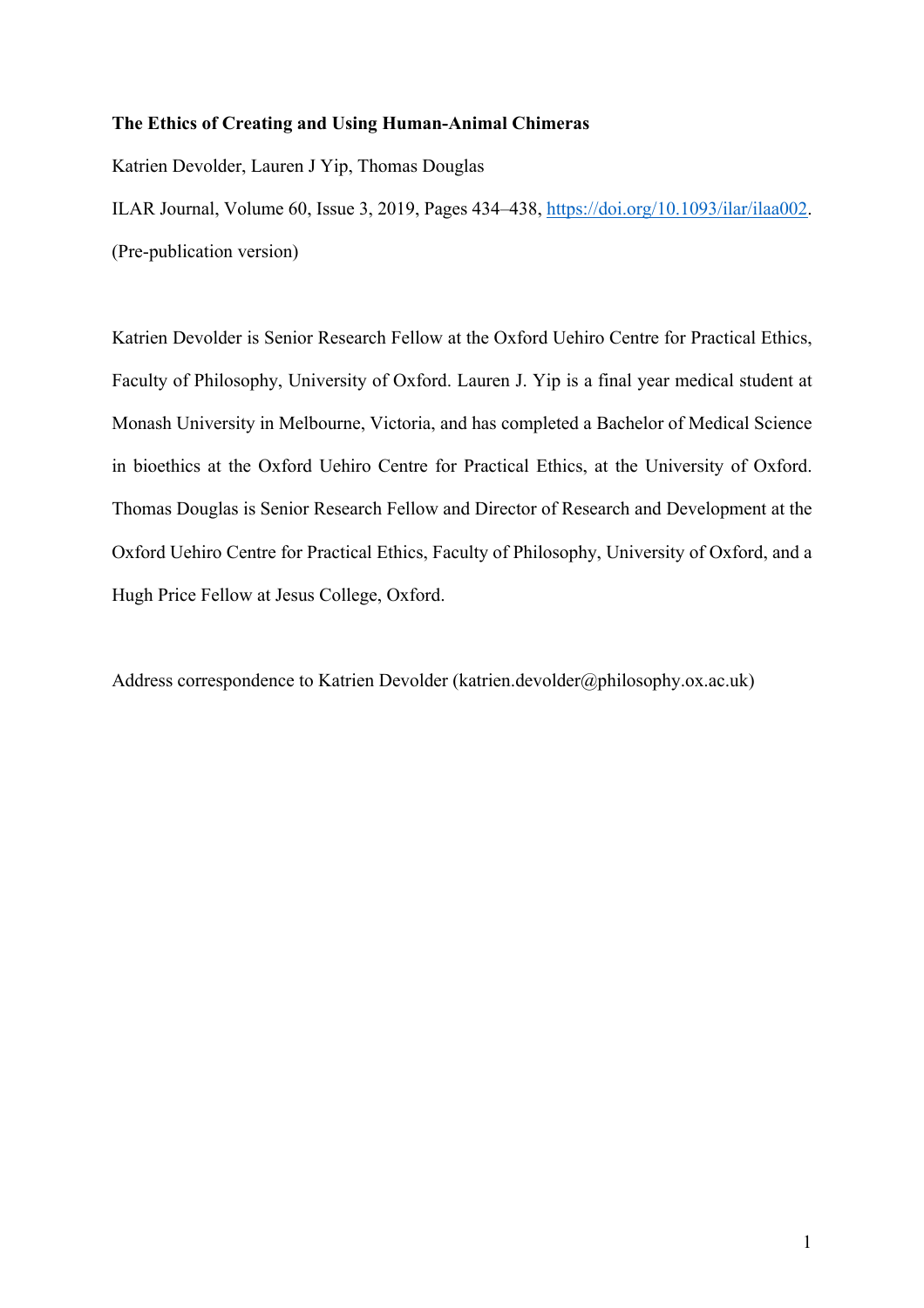# **The Ethics of Creating and Using Human-Animal Chimeras**

Katrien Devolder, Lauren J Yip, Thomas Douglas

ILAR Journal, Volume 60, Issue 3, 2019, Pages 434–438, https://doi.org/10.1093/ilar/ilaa002. (Pre-publication version)

Katrien Devolder is Senior Research Fellow at the Oxford Uehiro Centre for Practical Ethics, Faculty of Philosophy, University of Oxford. Lauren J. Yip is a final year medical student at Monash University in Melbourne, Victoria, and has completed a Bachelor of Medical Science in bioethics at the Oxford Uehiro Centre for Practical Ethics, at the University of Oxford. Thomas Douglas is Senior Research Fellow and Director of Research and Development at the Oxford Uehiro Centre for Practical Ethics, Faculty of Philosophy, University of Oxford, and a Hugh Price Fellow at Jesus College, Oxford.

Address correspondence to Katrien Devolder (katrien.devolder@philosophy.ox.ac.uk)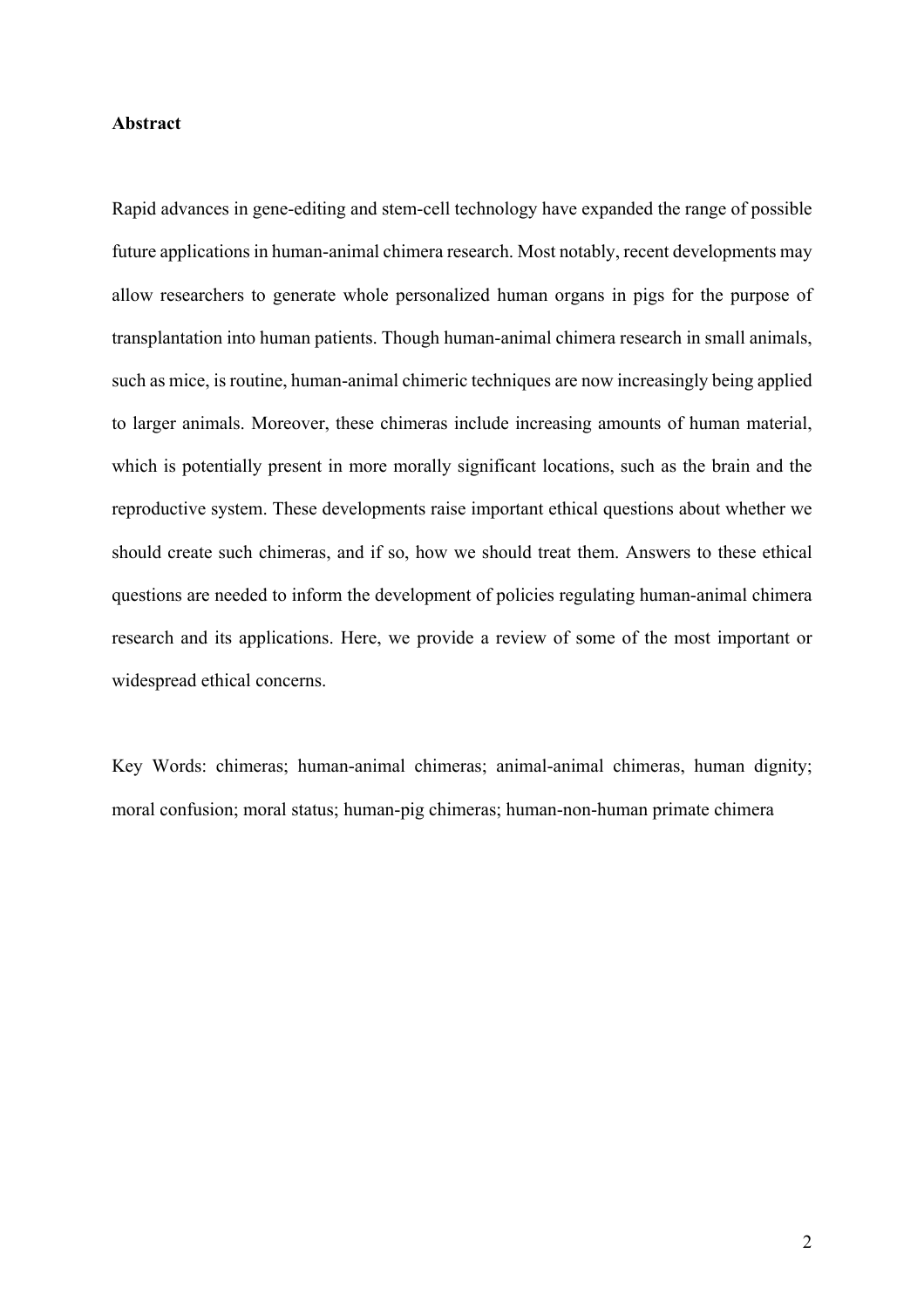### **Abstract**

Rapid advances in gene-editing and stem-cell technology have expanded the range of possible future applications in human-animal chimera research. Most notably, recent developments may allow researchers to generate whole personalized human organs in pigs for the purpose of transplantation into human patients. Though human-animal chimera research in small animals, such as mice, is routine, human-animal chimeric techniques are now increasingly being applied to larger animals. Moreover, these chimeras include increasing amounts of human material, which is potentially present in more morally significant locations, such as the brain and the reproductive system. These developments raise important ethical questions about whether we should create such chimeras, and if so, how we should treat them. Answers to these ethical questions are needed to inform the development of policies regulating human-animal chimera research and its applications. Here, we provide a review of some of the most important or widespread ethical concerns.

Key Words: chimeras; human-animal chimeras; animal-animal chimeras, human dignity; moral confusion; moral status; human-pig chimeras; human-non-human primate chimera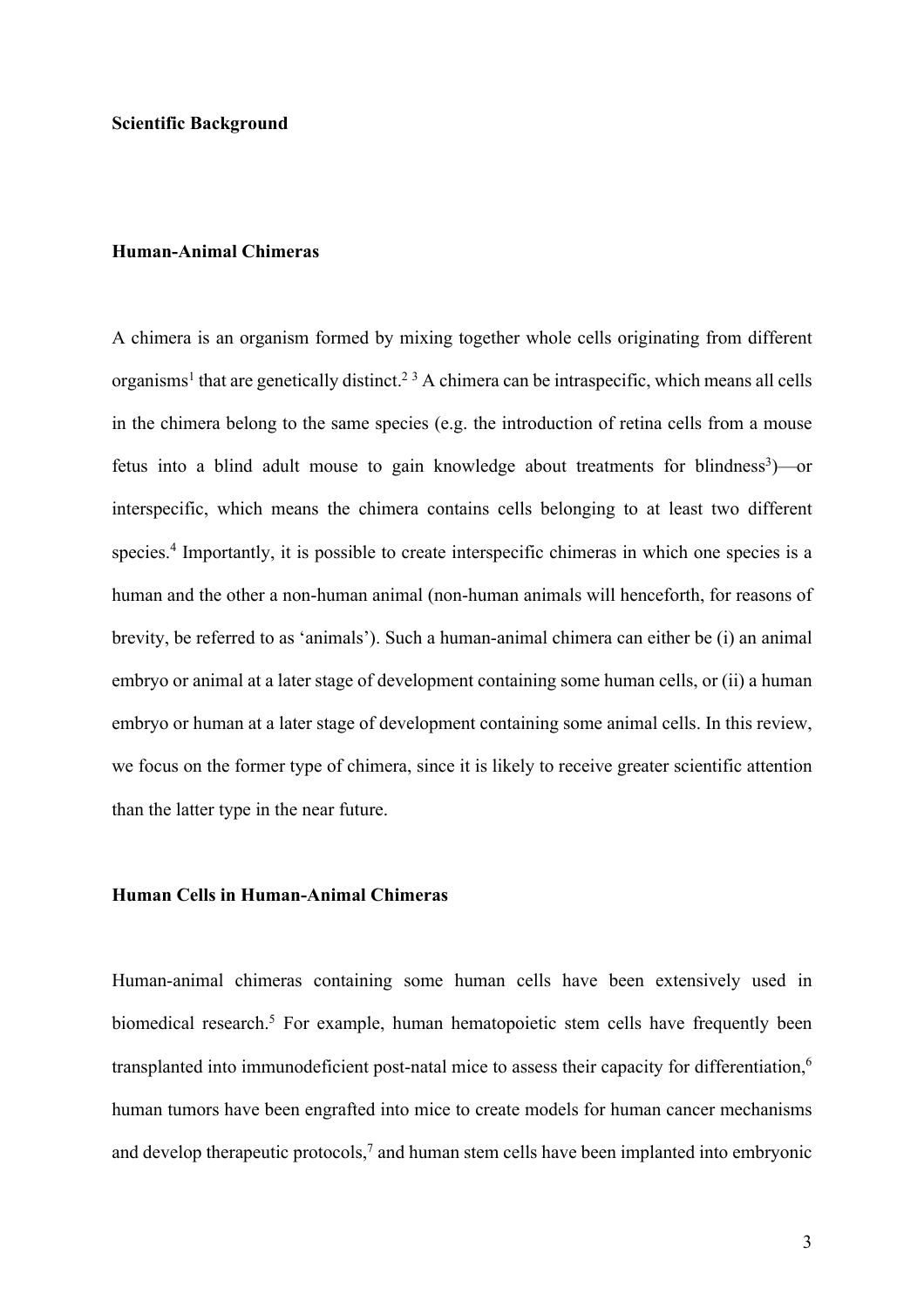# **Human-Animal Chimeras**

A chimera is an organism formed by mixing together whole cells originating from different organisms<sup>1</sup> that are genetically distinct.<sup>23</sup> A chimera can be intraspecific, which means all cells in the chimera belong to the same species (e.g. the introduction of retina cells from a mouse fetus into a blind adult mouse to gain knowledge about treatments for blindness<sup>3</sup>)—or interspecific, which means the chimera contains cells belonging to at least two different species. <sup>4</sup> Importantly, it is possible to create interspecific chimeras in which one species is a human and the other a non-human animal (non-human animals will henceforth, for reasons of brevity, be referred to as 'animals'). Such a human-animal chimera can either be (i) an animal embryo or animal at a later stage of development containing some human cells, or (ii) a human embryo or human at a later stage of development containing some animal cells. In this review, we focus on the former type of chimera, since it is likely to receive greater scientific attention than the latter type in the near future.

# **Human Cells in Human-Animal Chimeras**

Human-animal chimeras containing some human cells have been extensively used in biomedical research. <sup>5</sup> For example, human hematopoietic stem cells have frequently been transplanted into immunodeficient post-natal mice to assess their capacity for differentiation,<sup>6</sup> human tumors have been engrafted into mice to create models for human cancer mechanisms and develop therapeutic protocols,<sup>7</sup> and human stem cells have been implanted into embryonic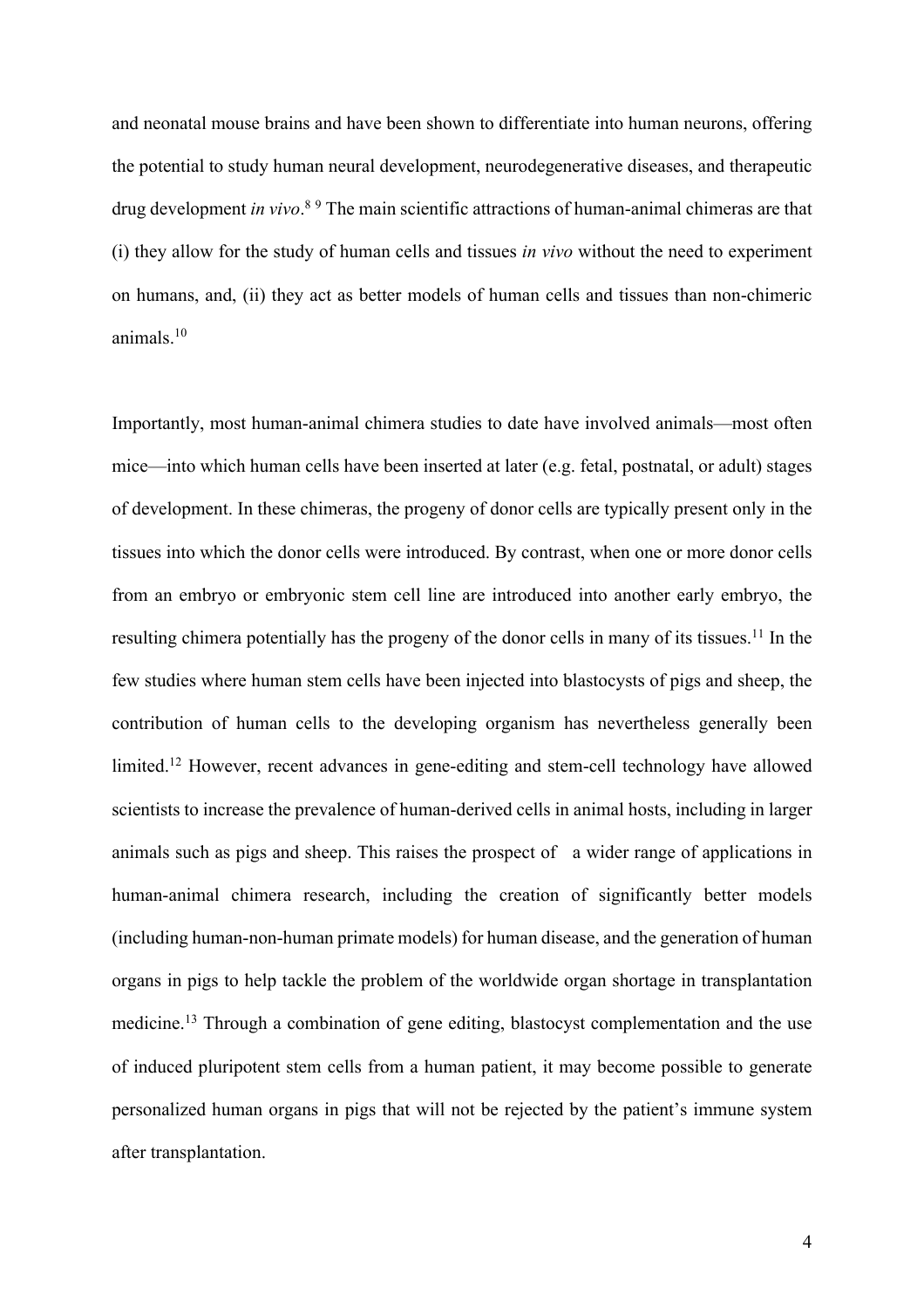and neonatal mouse brains and have been shown to differentiate into human neurons, offering the potential to study human neural development, neurodegenerative diseases, and therapeutic drug development *in vivo*. <sup>8</sup> <sup>9</sup> The main scientific attractions of human-animal chimeras are that (i) they allow for the study of human cells and tissues *in vivo* without the need to experiment on humans, and, (ii) they act as better models of human cells and tissues than non-chimeric animals. 10

Importantly, most human-animal chimera studies to date have involved animals—most often mice—into which human cells have been inserted at later (e.g. fetal, postnatal, or adult) stages of development. In these chimeras, the progeny of donor cells are typically present only in the tissues into which the donor cells were introduced. By contrast, when one or more donor cells from an embryo or embryonic stem cell line are introduced into another early embryo, the resulting chimera potentially has the progeny of the donor cells in many of its tissues.<sup>11</sup> In the few studies where human stem cells have been injected into blastocysts of pigs and sheep, the contribution of human cells to the developing organism has nevertheless generally been limited. <sup>12</sup> However, recent advances in gene-editing and stem-cell technology have allowed scientists to increase the prevalence of human-derived cells in animal hosts, including in larger animals such as pigs and sheep. This raises the prospect of a wider range of applications in human-animal chimera research, including the creation of significantly better models (including human-non-human primate models) for human disease, and the generation of human organs in pigs to help tackle the problem of the worldwide organ shortage in transplantation medicine.<sup>13</sup> Through a combination of gene editing, blastocyst complementation and the use of induced pluripotent stem cells from a human patient, it may become possible to generate personalized human organs in pigs that will not be rejected by the patient's immune system after transplantation.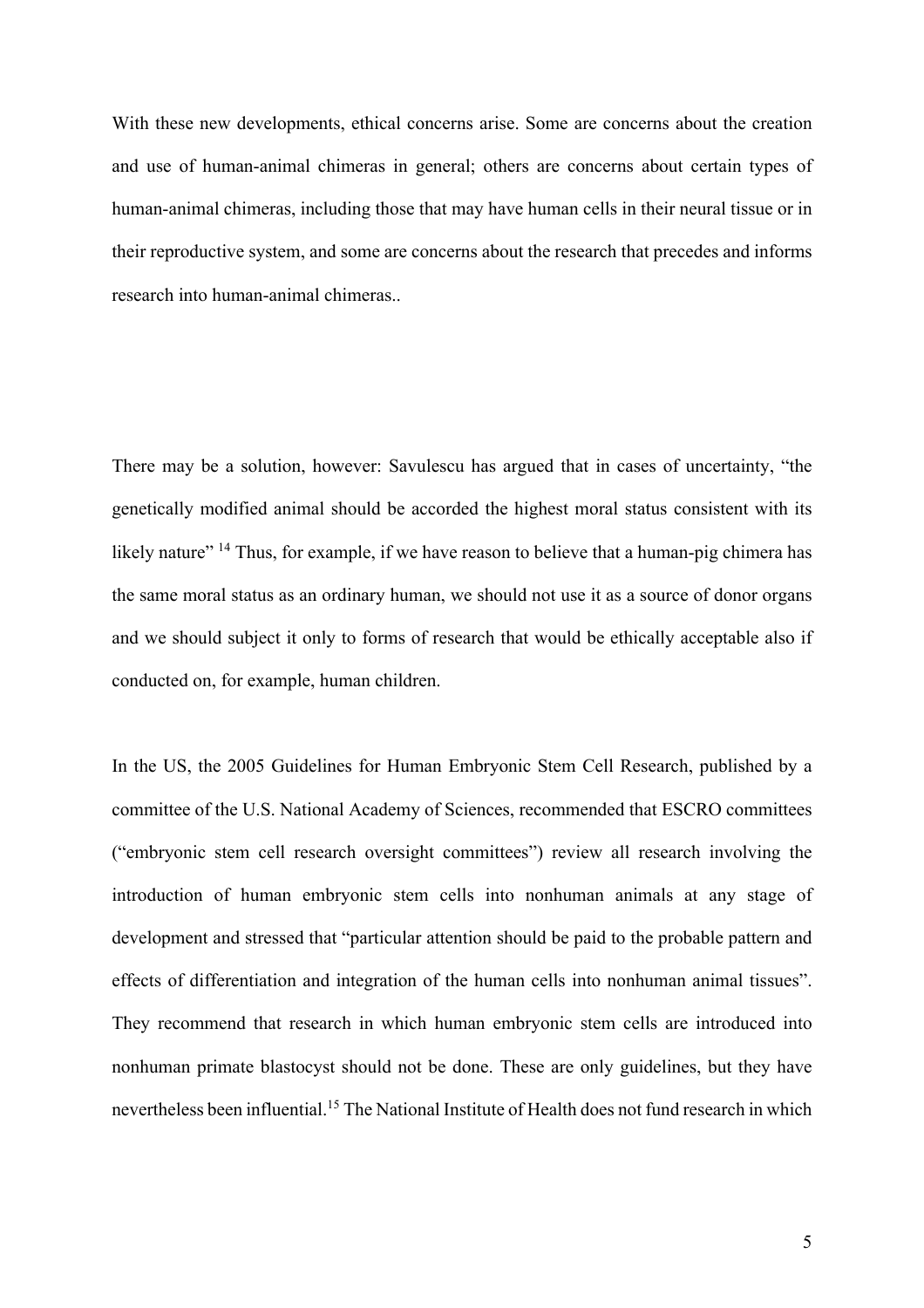With these new developments, ethical concerns arise. Some are concerns about the creation and use of human-animal chimeras in general; others are concerns about certain types of human-animal chimeras, including those that may have human cells in their neural tissue or in their reproductive system, and some are concerns about the research that precedes and informs research into human-animal chimeras..

There may be a solution, however: Savulescu has argued that in cases of uncertainty, "the genetically modified animal should be accorded the highest moral status consistent with its likely nature" <sup>14</sup> Thus, for example, if we have reason to believe that a human-pig chimera has the same moral status as an ordinary human, we should not use it as a source of donor organs and we should subject it only to forms of research that would be ethically acceptable also if conducted on, for example, human children.

In the US, the 2005 Guidelines for Human Embryonic Stem Cell Research, published by a committee of the U.S. National Academy of Sciences, recommended that ESCRO committees ("embryonic stem cell research oversight committees") review all research involving the introduction of human embryonic stem cells into nonhuman animals at any stage of development and stressed that "particular attention should be paid to the probable pattern and effects of differentiation and integration of the human cells into nonhuman animal tissues". They recommend that research in which human embryonic stem cells are introduced into nonhuman primate blastocyst should not be done. These are only guidelines, but they have nevertheless been influential. <sup>15</sup> The National Institute of Health does not fund research in which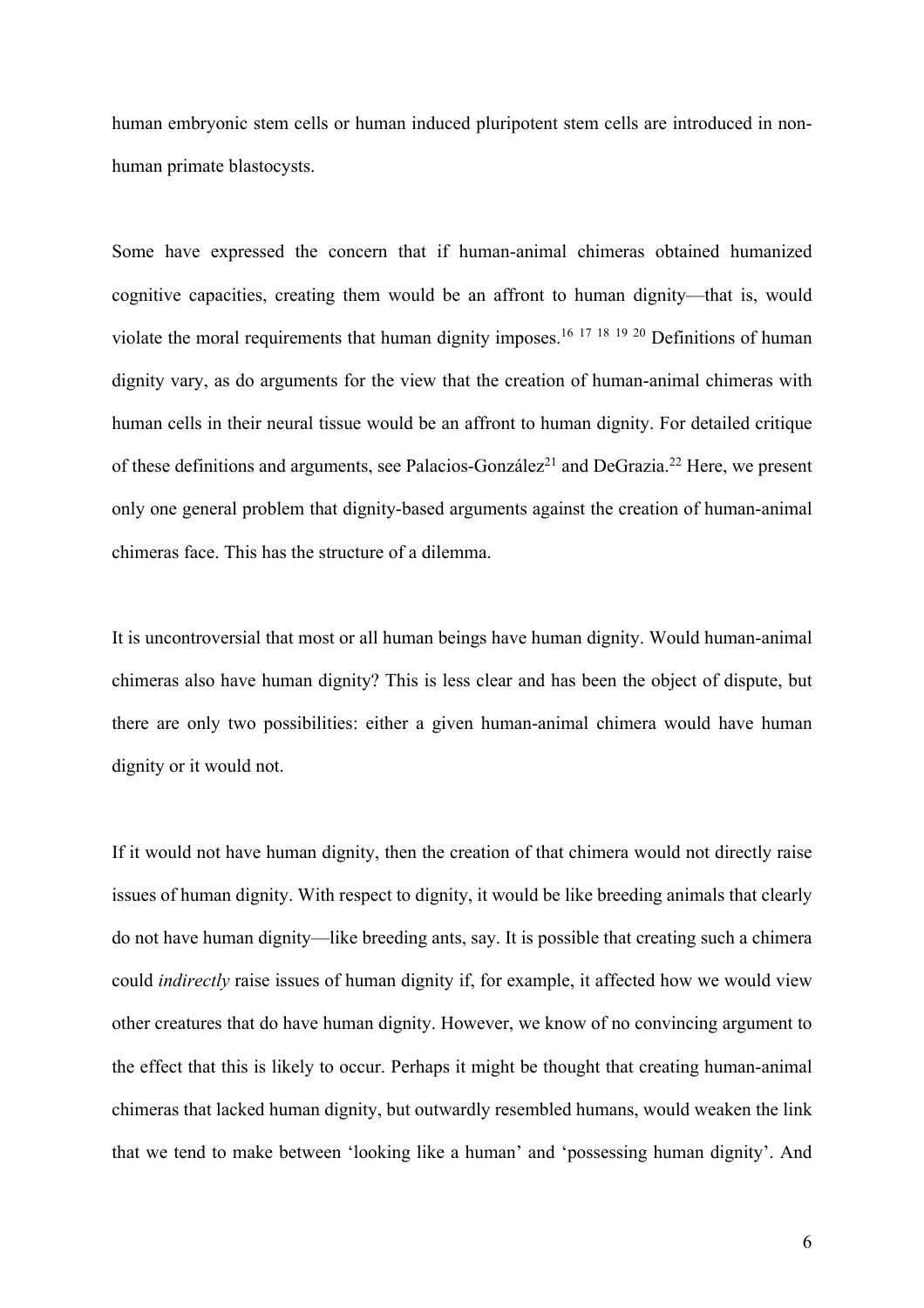human embryonic stem cells or human induced pluripotent stem cells are introduced in nonhuman primate blastocysts.

Some have expressed the concern that if human-animal chimeras obtained humanized cognitive capacities, creating them would be an affront to human dignity—that is, would violate the moral requirements that human dignity imposes.<sup>16 17 18 19 20</sup> Definitions of human dignity vary, as do arguments for the view that the creation of human-animal chimeras with human cells in their neural tissue would be an affront to human dignity. For detailed critique of these definitions and arguments, see Palacios-González<sup>21</sup> and DeGrazia.<sup>22</sup> Here, we present only one general problem that dignity-based arguments against the creation of human-animal chimeras face. This has the structure of a dilemma.

It is uncontroversial that most or all human beings have human dignity. Would human-animal chimeras also have human dignity? This is less clear and has been the object of dispute, but there are only two possibilities: either a given human-animal chimera would have human dignity or it would not.

If it would not have human dignity, then the creation of that chimera would not directly raise issues of human dignity. With respect to dignity, it would be like breeding animals that clearly do not have human dignity—like breeding ants, say. It is possible that creating such a chimera could *indirectly* raise issues of human dignity if, for example, it affected how we would view other creatures that do have human dignity. However, we know of no convincing argument to the effect that this is likely to occur. Perhaps it might be thought that creating human-animal chimeras that lacked human dignity, but outwardly resembled humans, would weaken the link that we tend to make between 'looking like a human' and 'possessing human dignity'. And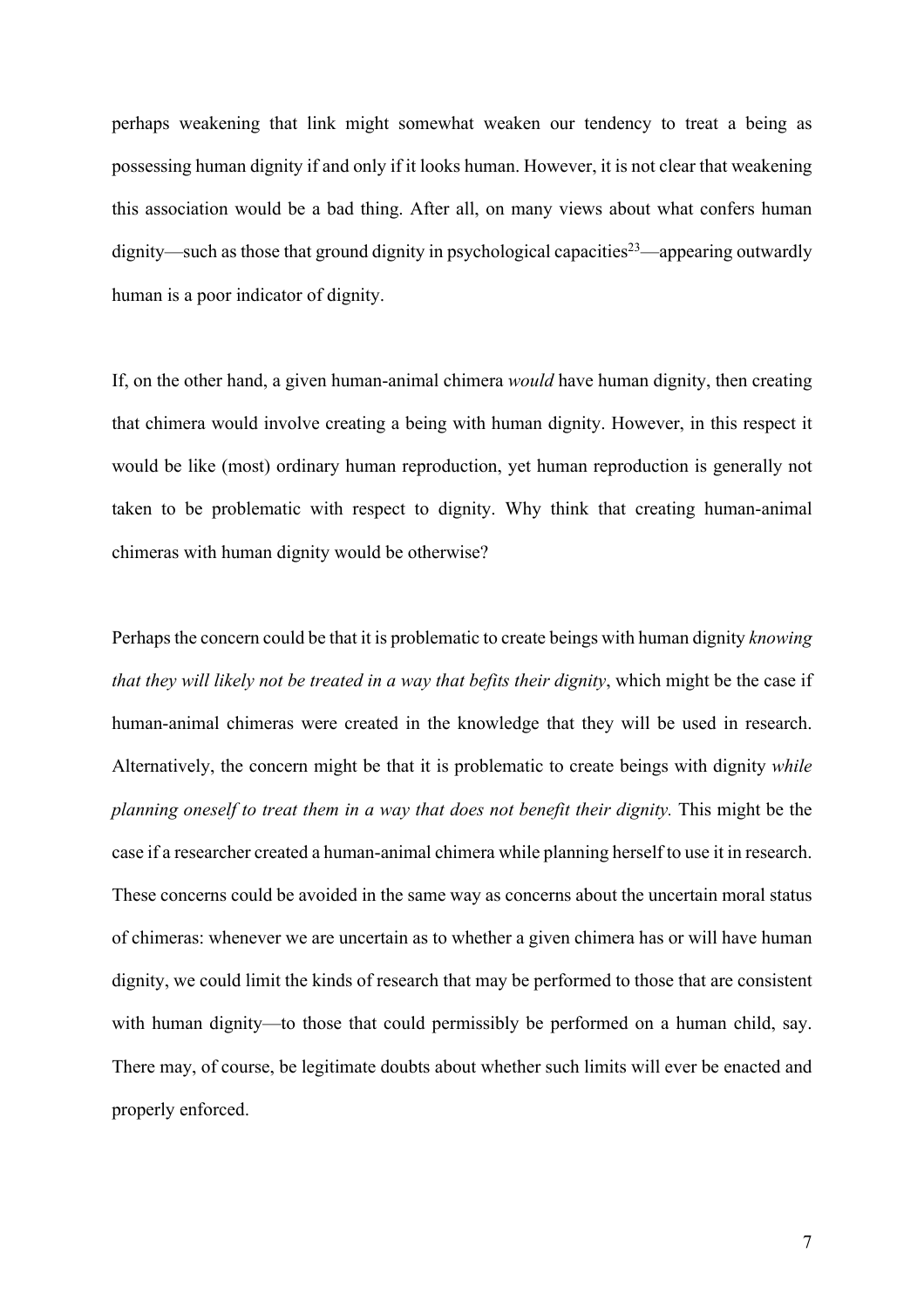perhaps weakening that link might somewhat weaken our tendency to treat a being as possessing human dignity if and only if it looks human. However, it is not clear that weakening this association would be a bad thing. After all, on many views about what confers human dignity—such as those that ground dignity in psychological capacities<sup>23</sup>—appearing outwardly human is a poor indicator of dignity.

If, on the other hand, a given human-animal chimera *would* have human dignity, then creating that chimera would involve creating a being with human dignity. However, in this respect it would be like (most) ordinary human reproduction, yet human reproduction is generally not taken to be problematic with respect to dignity. Why think that creating human-animal chimeras with human dignity would be otherwise?

Perhaps the concern could be that it is problematic to create beings with human dignity *knowing that they will likely not be treated in a way that befits their dignity*, which might be the case if human-animal chimeras were created in the knowledge that they will be used in research. Alternatively, the concern might be that it is problematic to create beings with dignity *while planning oneself to treat them in a way that does not benefit their dignity.* This might be the case if a researcher created a human-animal chimera while planning herself to use it in research. These concerns could be avoided in the same way as concerns about the uncertain moral status of chimeras: whenever we are uncertain as to whether a given chimera has or will have human dignity, we could limit the kinds of research that may be performed to those that are consistent with human dignity—to those that could permissibly be performed on a human child, say. There may, of course, be legitimate doubts about whether such limits will ever be enacted and properly enforced.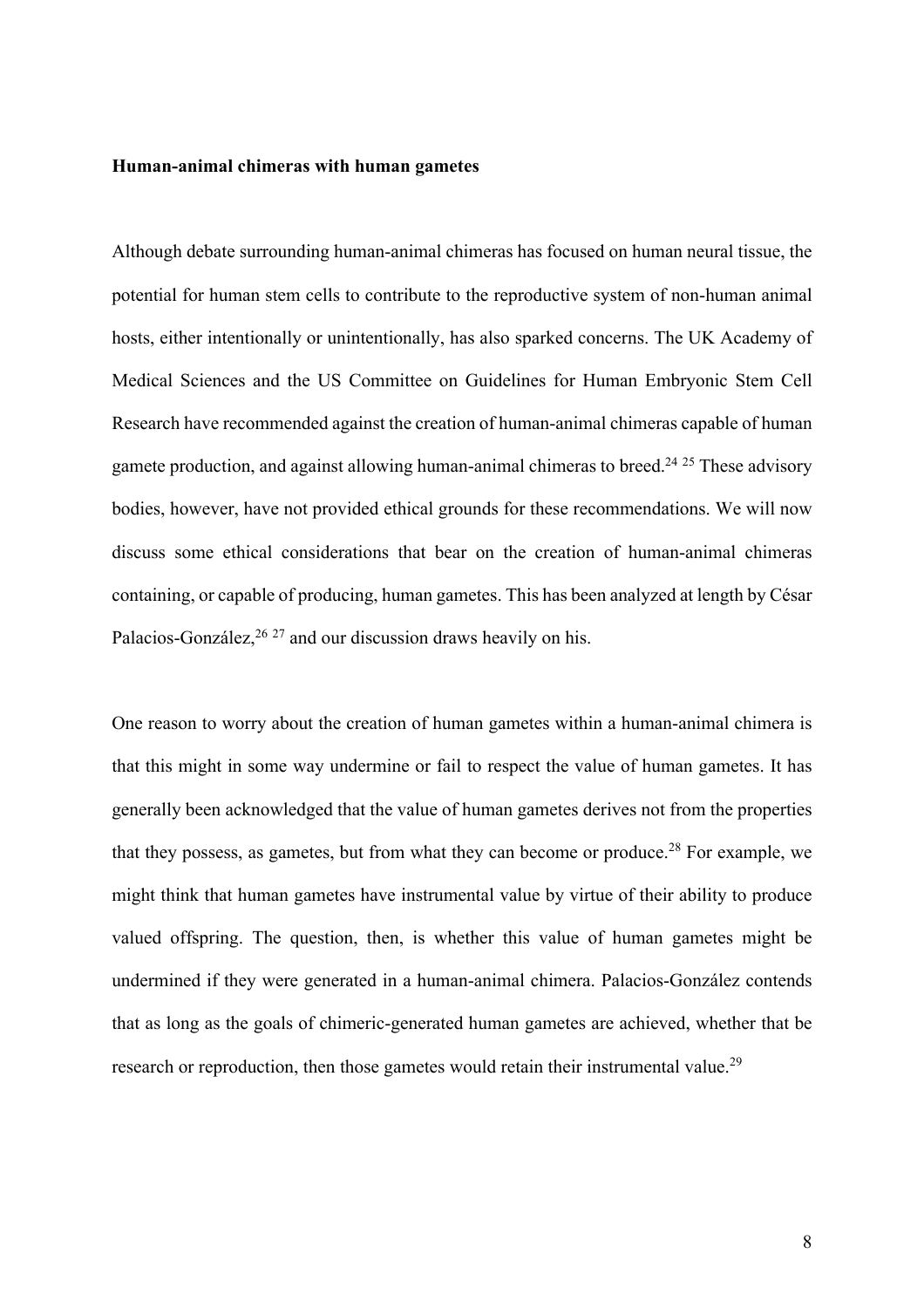#### **Human-animal chimeras with human gametes**

Although debate surrounding human-animal chimeras has focused on human neural tissue, the potential for human stem cells to contribute to the reproductive system of non-human animal hosts, either intentionally or unintentionally, has also sparked concerns. The UK Academy of Medical Sciences and the US Committee on Guidelines for Human Embryonic Stem Cell Research have recommended against the creation of human-animal chimeras capable of human gamete production, and against allowing human-animal chimeras to breed.<sup>24 25</sup> These advisory bodies, however, have not provided ethical grounds for these recommendations. We will now discuss some ethical considerations that bear on the creation of human-animal chimeras containing, or capable of producing, human gametes. This has been analyzed at length by César Palacios-González,<sup>26 27</sup> and our discussion draws heavily on his.

One reason to worry about the creation of human gametes within a human-animal chimera is that this might in some way undermine or fail to respect the value of human gametes. It has generally been acknowledged that the value of human gametes derives not from the properties that they possess, as gametes, but from what they can become or produce.<sup>28</sup> For example, we might think that human gametes have instrumental value by virtue of their ability to produce valued offspring. The question, then, is whether this value of human gametes might be undermined if they were generated in a human-animal chimera. Palacios-González contends that as long as the goals of chimeric-generated human gametes are achieved, whether that be research or reproduction, then those gametes would retain their instrumental value.<sup>29</sup>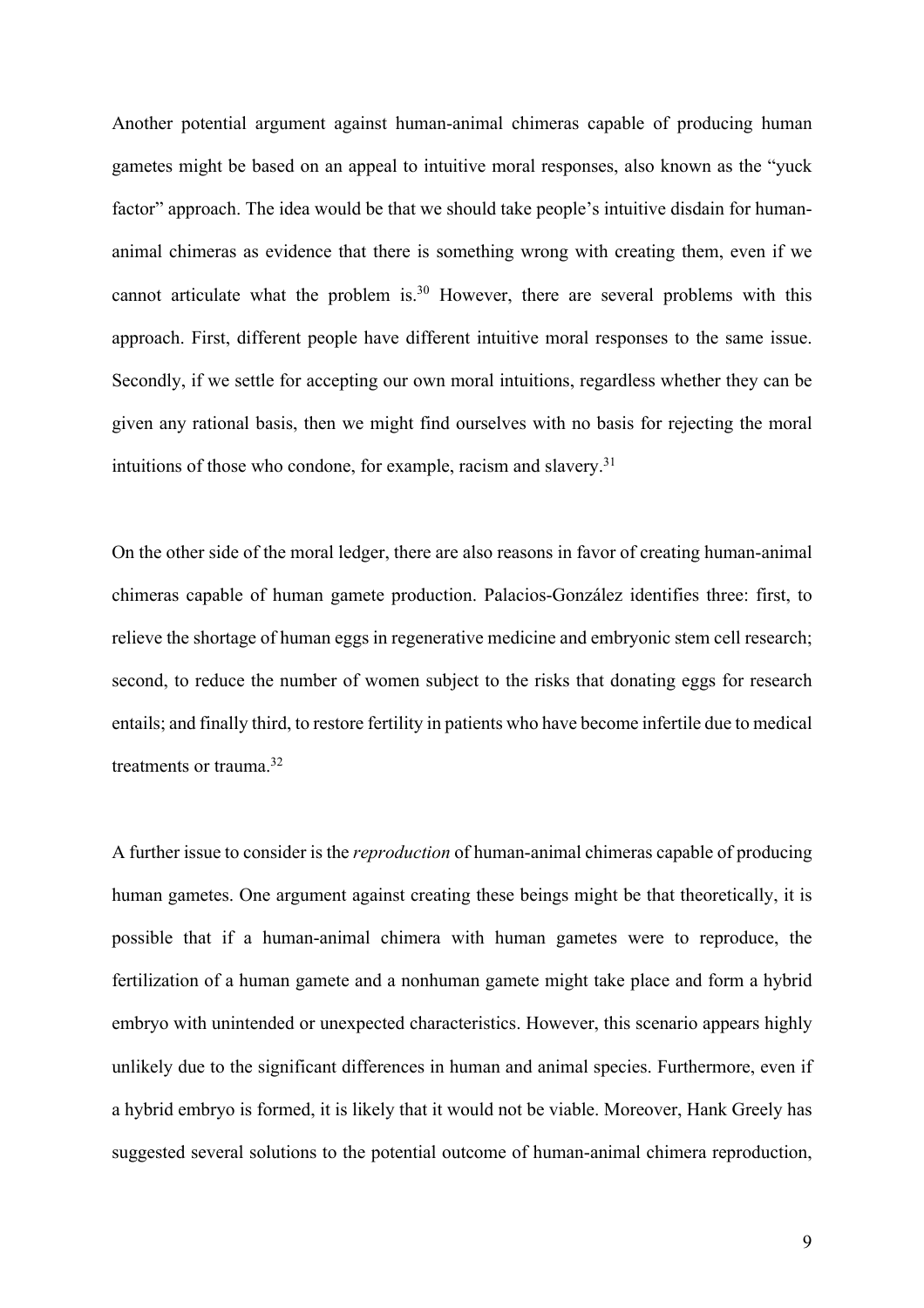Another potential argument against human-animal chimeras capable of producing human gametes might be based on an appeal to intuitive moral responses, also known as the "yuck factor" approach. The idea would be that we should take people's intuitive disdain for humananimal chimeras as evidence that there is something wrong with creating them, even if we cannot articulate what the problem is.<sup>30</sup> However, there are several problems with this approach. First, different people have different intuitive moral responses to the same issue. Secondly, if we settle for accepting our own moral intuitions, regardless whether they can be given any rational basis, then we might find ourselves with no basis for rejecting the moral intuitions of those who condone, for example, racism and slavery. $31$ 

On the other side of the moral ledger, there are also reasons in favor of creating human-animal chimeras capable of human gamete production. Palacios-González identifies three: first, to relieve the shortage of human eggs in regenerative medicine and embryonic stem cell research; second, to reduce the number of women subject to the risks that donating eggs for research entails; and finally third, to restore fertility in patients who have become infertile due to medical treatments or trauma.32

A further issue to consider is the *reproduction* of human-animal chimeras capable of producing human gametes. One argument against creating these beings might be that theoretically, it is possible that if a human-animal chimera with human gametes were to reproduce, the fertilization of a human gamete and a nonhuman gamete might take place and form a hybrid embryo with unintended or unexpected characteristics. However, this scenario appears highly unlikely due to the significant differences in human and animal species. Furthermore, even if a hybrid embryo is formed, it is likely that it would not be viable. Moreover, Hank Greely has suggested several solutions to the potential outcome of human-animal chimera reproduction,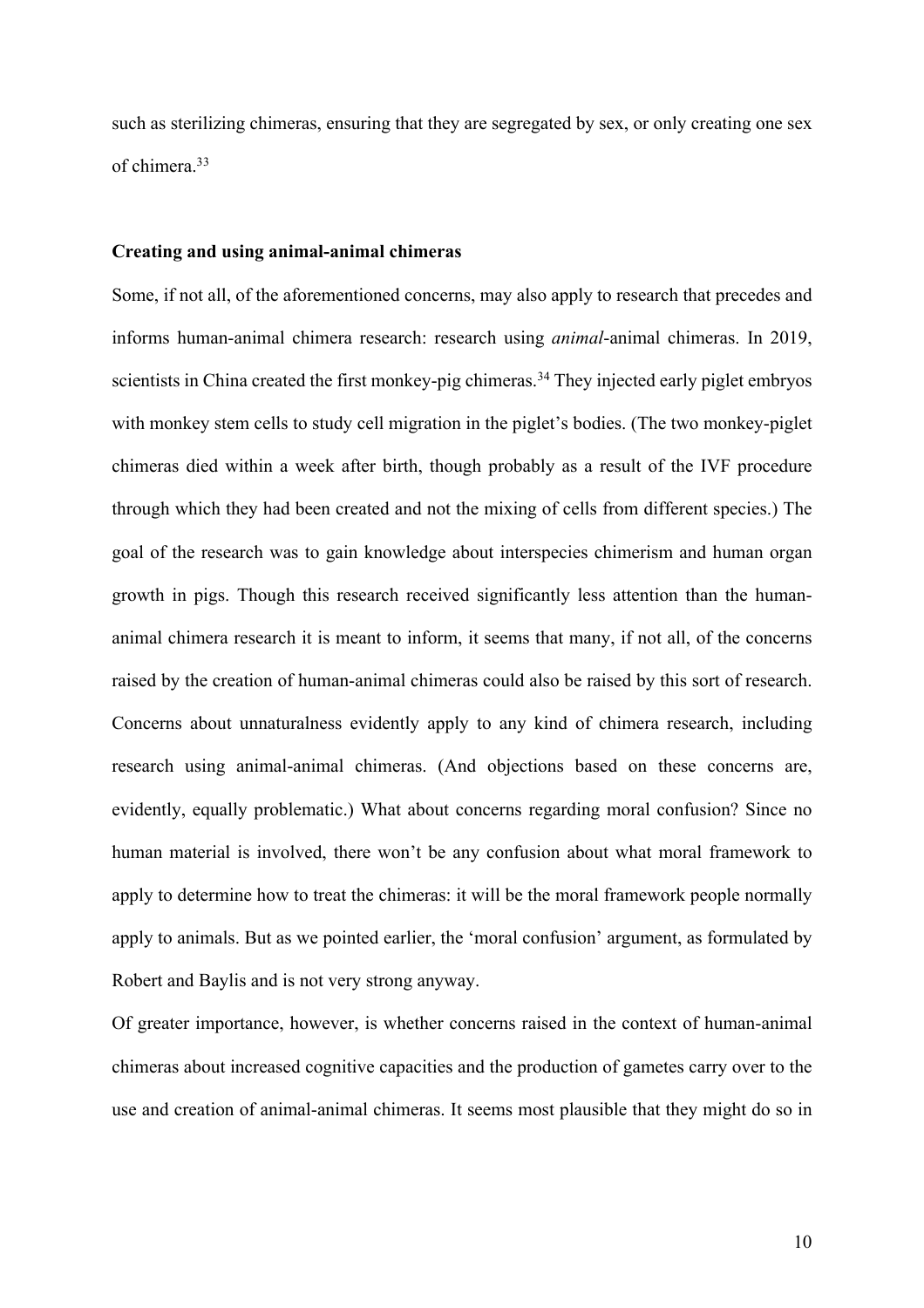such as sterilizing chimeras, ensuring that they are segregated by sex, or only creating one sex of chimera.33

### **Creating and using animal-animal chimeras**

Some, if not all, of the aforementioned concerns, may also apply to research that precedes and informs human-animal chimera research: research using *animal*-animal chimeras. In 2019, scientists in China created the first monkey-pig chimeras.<sup>34</sup> They injected early piglet embryos with monkey stem cells to study cell migration in the piglet's bodies. (The two monkey-piglet chimeras died within a week after birth, though probably as a result of the IVF procedure through which they had been created and not the mixing of cells from different species.) The goal of the research was to gain knowledge about interspecies chimerism and human organ growth in pigs. Though this research received significantly less attention than the humananimal chimera research it is meant to inform, it seems that many, if not all, of the concerns raised by the creation of human-animal chimeras could also be raised by this sort of research. Concerns about unnaturalness evidently apply to any kind of chimera research, including research using animal-animal chimeras. (And objections based on these concerns are, evidently, equally problematic.) What about concerns regarding moral confusion? Since no human material is involved, there won't be any confusion about what moral framework to apply to determine how to treat the chimeras: it will be the moral framework people normally apply to animals. But as we pointed earlier, the 'moral confusion' argument, as formulated by Robert and Baylis and is not very strong anyway.

Of greater importance, however, is whether concerns raised in the context of human-animal chimeras about increased cognitive capacities and the production of gametes carry over to the use and creation of animal-animal chimeras. It seems most plausible that they might do so in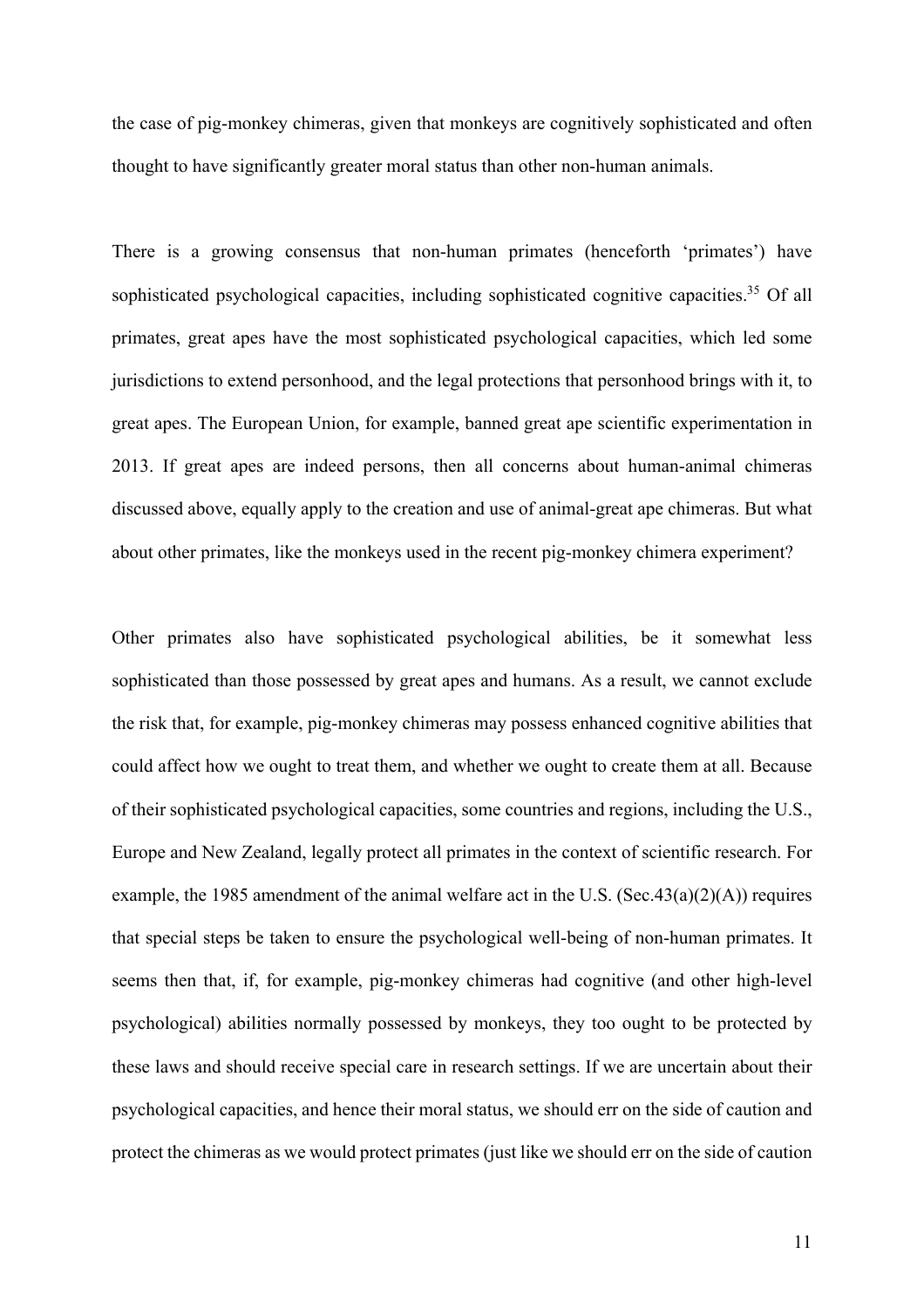the case of pig-monkey chimeras, given that monkeys are cognitively sophisticated and often thought to have significantly greater moral status than other non-human animals.

There is a growing consensus that non-human primates (henceforth 'primates') have sophisticated psychological capacities, including sophisticated cognitive capacities.<sup>35</sup> Of all primates, great apes have the most sophisticated psychological capacities, which led some jurisdictions to extend personhood, and the legal protections that personhood brings with it, to great apes. The European Union, for example, banned great ape scientific experimentation in 2013. If great apes are indeed persons, then all concerns about human-animal chimeras discussed above, equally apply to the creation and use of animal-great ape chimeras. But what about other primates, like the monkeys used in the recent pig-monkey chimera experiment?

Other primates also have sophisticated psychological abilities, be it somewhat less sophisticated than those possessed by great apes and humans. As a result, we cannot exclude the risk that, for example, pig-monkey chimeras may possess enhanced cognitive abilities that could affect how we ought to treat them, and whether we ought to create them at all. Because of their sophisticated psychological capacities, some countries and regions, including the U.S., Europe and New Zealand, legally protect all primates in the context of scientific research. For example, the 1985 amendment of the animal welfare act in the U.S. (Sec.43(a)(2)(A)) requires that special steps be taken to ensure the psychological well-being of non-human primates. It seems then that, if, for example, pig-monkey chimeras had cognitive (and other high-level psychological) abilities normally possessed by monkeys, they too ought to be protected by these laws and should receive special care in research settings. If we are uncertain about their psychological capacities, and hence their moral status, we should err on the side of caution and protect the chimeras as we would protect primates (just like we should err on the side of caution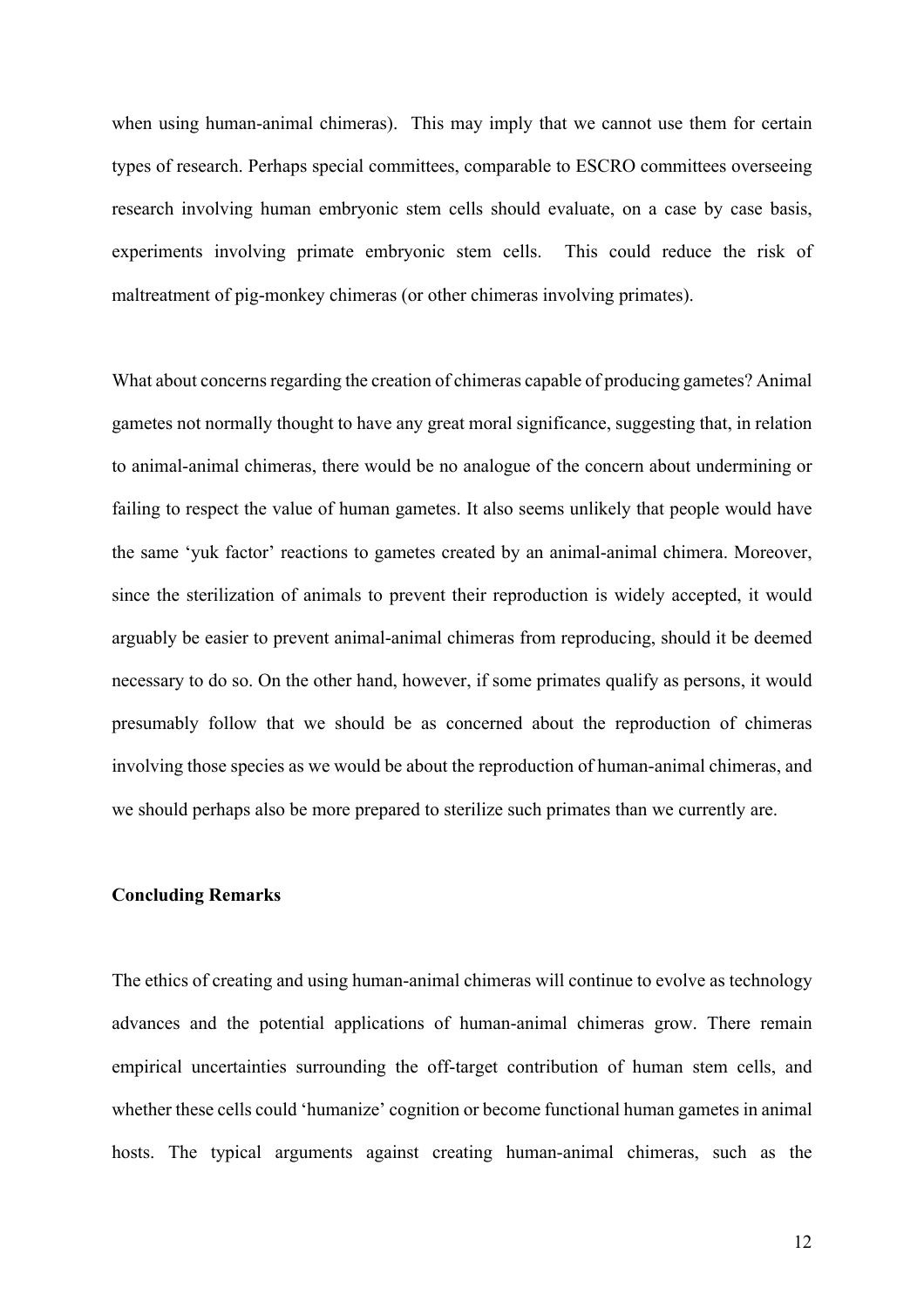when using human-animal chimeras). This may imply that we cannot use them for certain types of research. Perhaps special committees, comparable to ESCRO committees overseeing research involving human embryonic stem cells should evaluate, on a case by case basis, experiments involving primate embryonic stem cells. This could reduce the risk of maltreatment of pig-monkey chimeras (or other chimeras involving primates).

What about concerns regarding the creation of chimeras capable of producing gametes? Animal gametes not normally thought to have any great moral significance, suggesting that, in relation to animal-animal chimeras, there would be no analogue of the concern about undermining or failing to respect the value of human gametes. It also seems unlikely that people would have the same 'yuk factor' reactions to gametes created by an animal-animal chimera. Moreover, since the sterilization of animals to prevent their reproduction is widely accepted, it would arguably be easier to prevent animal-animal chimeras from reproducing, should it be deemed necessary to do so. On the other hand, however, if some primates qualify as persons, it would presumably follow that we should be as concerned about the reproduction of chimeras involving those species as we would be about the reproduction of human-animal chimeras, and we should perhaps also be more prepared to sterilize such primates than we currently are.

# **Concluding Remarks**

The ethics of creating and using human-animal chimeras will continue to evolve as technology advances and the potential applications of human-animal chimeras grow. There remain empirical uncertainties surrounding the off-target contribution of human stem cells, and whether these cells could 'humanize' cognition or become functional human gametes in animal hosts. The typical arguments against creating human-animal chimeras, such as the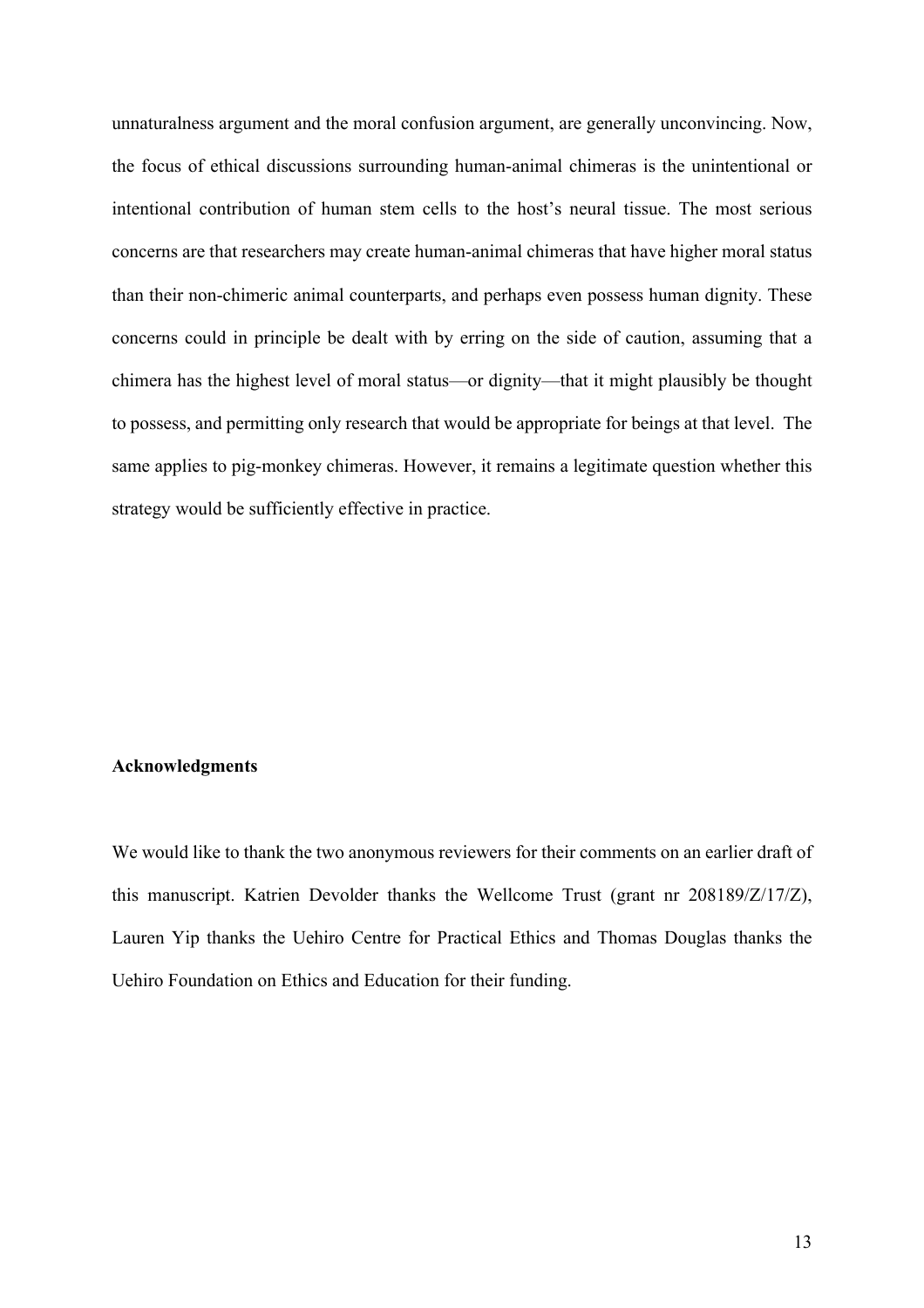unnaturalness argument and the moral confusion argument, are generally unconvincing. Now, the focus of ethical discussions surrounding human-animal chimeras is the unintentional or intentional contribution of human stem cells to the host's neural tissue. The most serious concerns are that researchers may create human-animal chimeras that have higher moral status than their non-chimeric animal counterparts, and perhaps even possess human dignity. These concerns could in principle be dealt with by erring on the side of caution, assuming that a chimera has the highest level of moral status—or dignity—that it might plausibly be thought to possess, and permitting only research that would be appropriate for beings at that level. The same applies to pig-monkey chimeras. However, it remains a legitimate question whether this strategy would be sufficiently effective in practice.

### **Acknowledgments**

We would like to thank the two anonymous reviewers for their comments on an earlier draft of this manuscript. Katrien Devolder thanks the Wellcome Trust (grant nr 208189/Z/17/Z), Lauren Yip thanks the Uehiro Centre for Practical Ethics and Thomas Douglas thanks the Uehiro Foundation on Ethics and Education for their funding.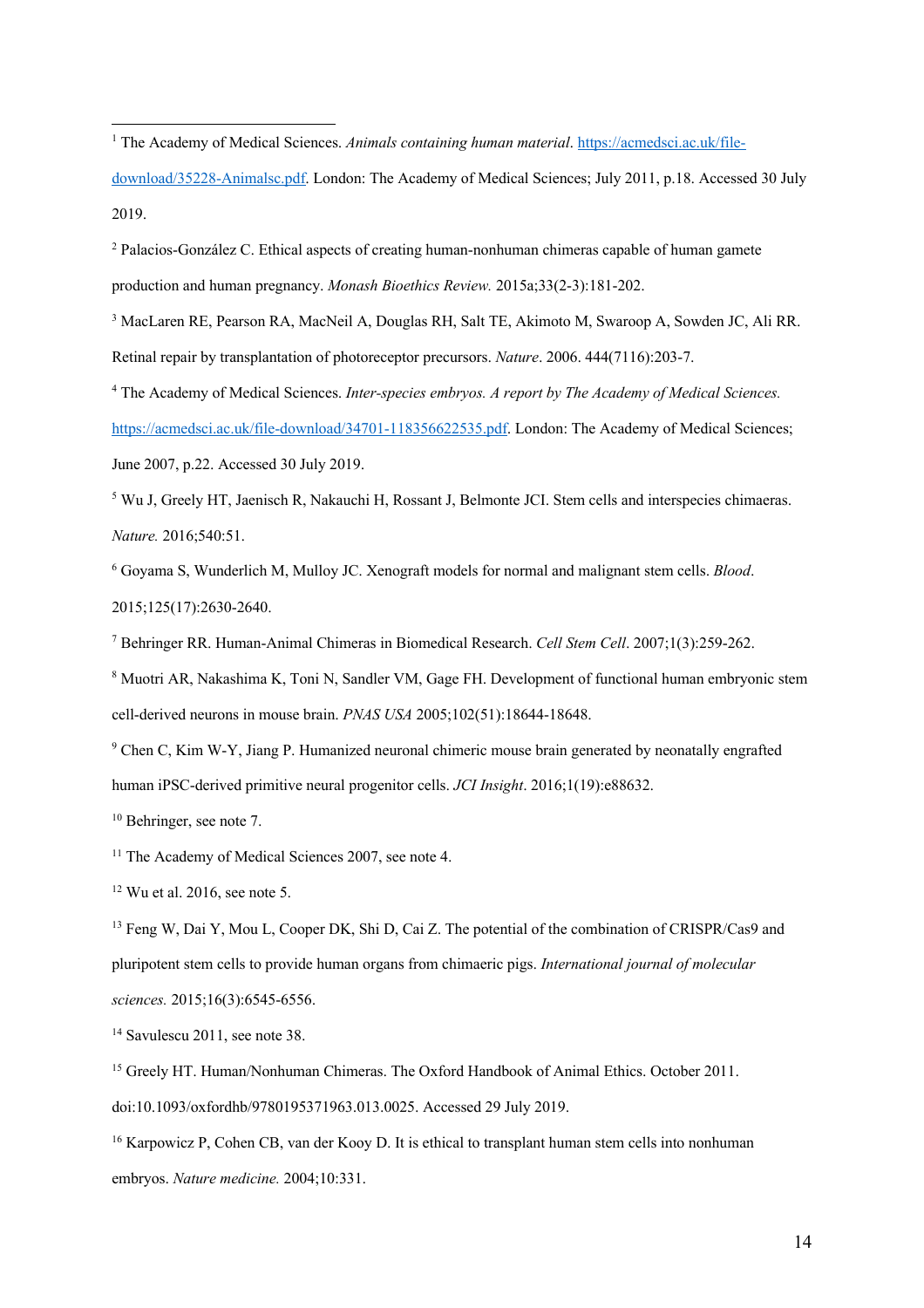download/35228-Animalsc.pdf. London: The Academy of Medical Sciences; July 2011, p.18. Accessed 30 July 2019.

<sup>2</sup> Palacios-González C. Ethical aspects of creating human-nonhuman chimeras capable of human gamete production and human pregnancy. *Monash Bioethics Review.* 2015a;33(2-3):181-202.

<sup>3</sup> MacLaren RE, Pearson RA, MacNeil A, Douglas RH, Salt TE, Akimoto M, Swaroop A, Sowden JC, Ali RR. Retinal repair by transplantation of photoreceptor precursors. *Nature*. 2006. 444(7116):203-7.

<sup>4</sup> The Academy of Medical Sciences. *Inter-species embryos. A report by The Academy of Medical Sciences.*  https://acmedsci.ac.uk/file-download/34701-118356622535.pdf. London: The Academy of Medical Sciences; June 2007, p.22. Accessed 30 July 2019.

<sup>5</sup> Wu J, Greely HT, Jaenisch R, Nakauchi H, Rossant J, Belmonte JCI. Stem cells and interspecies chimaeras. *Nature.* 2016;540:51.

<sup>6</sup> Goyama S, Wunderlich M, Mulloy JC. Xenograft models for normal and malignant stem cells. *Blood*. 2015;125(17):2630-2640.

<sup>7</sup> Behringer RR. Human-Animal Chimeras in Biomedical Research. *Cell Stem Cell*. 2007;1(3):259-262.

<sup>8</sup> Muotri AR, Nakashima K, Toni N, Sandler VM, Gage FH. Development of functional human embryonic stem cell-derived neurons in mouse brain. *PNAS USA* 2005;102(51):18644-18648.

<sup>9</sup> Chen C, Kim W-Y, Jiang P. Humanized neuronal chimeric mouse brain generated by neonatally engrafted human iPSC-derived primitive neural progenitor cells. *JCI Insight*. 2016;1(19):e88632.

<sup>10</sup> Behringer, see note 7.

<sup>11</sup> The Academy of Medical Sciences 2007, see note 4.

<sup>12</sup> Wu et al. 2016, see note 5.

<sup>13</sup> Feng W, Dai Y, Mou L, Cooper DK, Shi D, Cai Z. The potential of the combination of CRISPR/Cas9 and pluripotent stem cells to provide human organs from chimaeric pigs. *International journal of molecular sciences.* 2015;16(3):6545-6556.

<sup>14</sup> Savulescu 2011, see note 38.

<sup>15</sup> Greely HT. Human/Nonhuman Chimeras. The Oxford Handbook of Animal Ethics. October 2011. doi:10.1093/oxfordhb/9780195371963.013.0025. Accessed 29 July 2019.

<sup>16</sup> Karpowicz P, Cohen CB, van der Kooy D. It is ethical to transplant human stem cells into nonhuman embryos. *Nature medicine.* 2004;10:331.

<sup>&</sup>lt;sup>1</sup> The Academy of Medical Sciences. Animals containing human material. https://acmedsci.ac.uk/file-